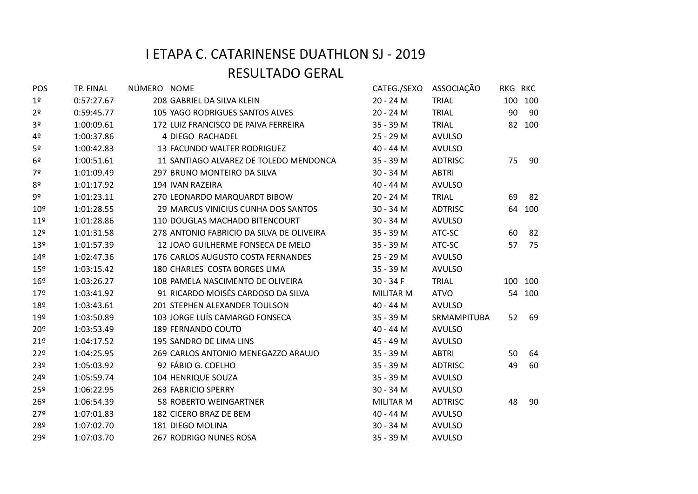| POS             | TP. FINAL  | NÚMERO NOME |                                           |                  | CATEG./SEXO ASSOCIAÇÃO | RKG RKC |         |
|-----------------|------------|-------------|-------------------------------------------|------------------|------------------------|---------|---------|
| 1 <sup>o</sup>  | 0:57:27.67 |             | 208 GABRIEL DA SILVA KLEIN                | 20 - 24 M        | <b>TRIAL</b>           |         | 100 100 |
| 2 <sup>o</sup>  | 0:59:45.77 |             | 105 YAGO RODRIGUES SANTOS ALVES           | 20 - 24 M        | TRIAL                  | 90      | - 90    |
| 3 <sup>o</sup>  | 1:00:09.61 |             | 172 LUIZ FRANCISCO DE PAIVA FERREIRA      | 35 - 39 M        | TRIAL                  |         | 82 100  |
| 4º              | 1:00:37.86 |             | 4 DIEGO RACHADEL                          | 25 - 29 M        | <b>AVULSO</b>          |         |         |
| 5º              | 1:00:42.83 |             | 13 FACUNDO WALTER RODRIGUEZ               | 40 - 44 M        | <b>AVULSO</b>          |         |         |
| 6 <sup>9</sup>  | 1:00:51.61 |             | 11 SANTIAGO ALVAREZ DE TOLEDO MENDONCA    | 35 - 39 M        | <b>ADTRISC</b>         | 75      | 90      |
| 7º              | 1:01:09.49 |             | 297 BRUNO MONTEIRO DA SILVA               | 30 - 34 M        | <b>ABTRI</b>           |         |         |
| 8 <sup>o</sup>  | 1:01:17.92 |             | 194 IVAN RAZEIRA                          | 40 - 44 M        | <b>AVULSO</b>          |         |         |
| 9º              | 1:01:23.11 |             | 270 LEONARDO MARQUARDT BIBOW              | 20 - 24 M        | TRIAL                  | 69      | - 82    |
| 10 <sup>°</sup> | 1:01:28.55 |             | 29 MARCUS VINICIUS CUNHA DOS SANTOS       | 30 - 34 M        | <b>ADTRISC</b>         |         | 64 100  |
| 11 <sup>°</sup> | 1:01:28.86 |             | 110 DOUGLAS MACHADO BITENCOURT            | 30 - 34 M        | <b>AVULSO</b>          |         |         |
| 12 <sup>°</sup> | 1:01:31.58 |             | 278 ANTONIO FABRICIO DA SILVA DE OLIVEIRA | 35 - 39 M        | ATC-SC                 | 60      | - 82    |
| 13 <sup>°</sup> | 1:01:57.39 |             | 12 JOAO GUILHERME FONSECA DE MELO         | 35 - 39 M        | ATC-SC                 | 57      | 75      |
| 14 <sup>°</sup> | 1:02:47.36 |             | 176 CARLOS AUGUSTO COSTA FERNANDES        | 25 - 29 M        | <b>AVULSO</b>          |         |         |
| 15 <sup>°</sup> | 1:03:15.42 |             | 180 CHARLES COSTA BORGES LIMA             | 35 - 39 M        | <b>AVULSO</b>          |         |         |
| 16 <sup>°</sup> | 1:03:26.27 |             | 108 PAMELA NASCIMENTO DE OLIVEIRA         | $30 - 34F$       | TRIAL                  |         | 100 100 |
| 179             | 1:03:41.92 |             | 91 RICARDO MOISÉS CARDOSO DA SILVA        | <b>MILITAR M</b> | <b>ATVO</b>            |         | 54 100  |
| 18 <sup>°</sup> | 1:03:43.61 |             | 201 STEPHEN ALEXANDER TOULSON             | 40 - 44 M        | <b>AVULSO</b>          |         |         |
| 19º             | 1:03:50.89 |             | 103 JORGE LUÍS CAMARGO FONSECA            | 35 - 39 M        | SRMAMPITUBA            | 52      | - 69    |
| 20 <sup>o</sup> | 1:03:53.49 |             | 189 FERNANDO COUTO                        | 40 - 44 M        | <b>AVULSO</b>          |         |         |
| 21°             | 1:04:17.52 |             | 195 SANDRO DE LIMA LINS                   | 45 - 49 M        | <b>AVULSO</b>          |         |         |
| 22°             | 1:04:25.95 |             | 269 CARLOS ANTONIO MENEGAZZO ARAUJO       | 35 - 39 M        | <b>ABTRI</b>           | 50      | 64      |
| 23º             | 1:05:03.92 |             | 92 FÁBIO G. COELHO                        | 35 - 39 M        | <b>ADTRISC</b>         | 49      | 60      |
| 24 <sup>°</sup> | 1:05:59.74 |             | 104 HENRIQUE SOUZA                        | 35 - 39 M        | <b>AVULSO</b>          |         |         |
| 25º             | 1:06:22.95 |             | 263 FABRICIO SPERRY                       | 30 - 34 M        | <b>AVULSO</b>          |         |         |
| 26 <sup>°</sup> | 1:06:54.39 |             | 58 ROBERTO WEINGARTNER                    | MILITAR M        | <b>ADTRISC</b>         | 48      | 90      |
| 279             | 1:07:01.83 |             | 182 CICERO BRAZ DE BEM                    | 40 - 44 M        | <b>AVULSO</b>          |         |         |
| 28º             | 1:07:02.70 |             | 181 DIEGO MOLINA                          | 30 - 34 M        | <b>AVULSO</b>          |         |         |
| 29º             | 1:07:03.70 |             | 267 RODRIGO NUNES ROSA                    | 35 - 39 M        | <b>AVULSO</b>          |         |         |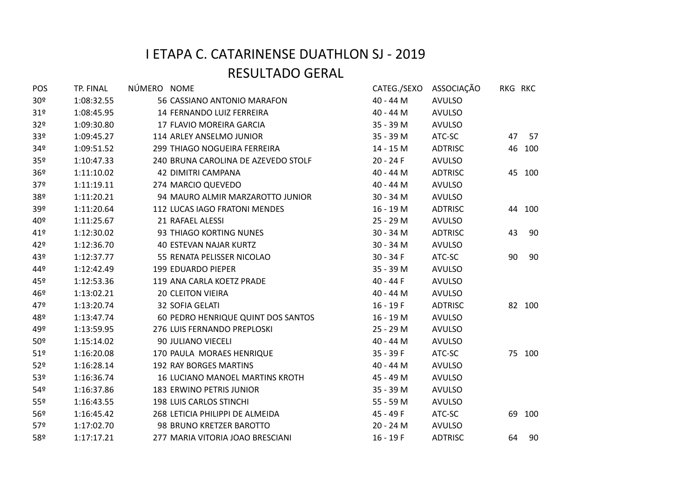| POS             | TP. FINAL  | NÚMERO NOME |                                        | CATEG./SEXO | ASSOCIAÇÃO     | RKG RKC |        |
|-----------------|------------|-------------|----------------------------------------|-------------|----------------|---------|--------|
| 30 <sup>°</sup> | 1:08:32.55 |             | 56 CASSIANO ANTONIO MARAFON            | 40 - 44 M   | <b>AVULSO</b>  |         |        |
| 31 <sup>o</sup> | 1:08:45.95 |             | 14 FERNANDO LUIZ FERREIRA              | 40 - 44 M   | <b>AVULSO</b>  |         |        |
| 32 <sup>o</sup> | 1:09:30.80 |             | 17 FLAVIO MOREIRA GARCIA               | 35 - 39 M   | <b>AVULSO</b>  |         |        |
| 33 <sup>o</sup> | 1:09:45.27 |             | 114 ARLEY ANSELMO JUNIOR               | 35 - 39 M   | ATC-SC         | 47      | 57     |
| 34º             | 1:09:51.52 |             | 299 THIAGO NOGUEIRA FERREIRA           | 14 - 15 M   | <b>ADTRISC</b> |         | 46 100 |
| 35 <sup>o</sup> | 1:10:47.33 |             | 240 BRUNA CAROLINA DE AZEVEDO STOLF    | $20 - 24F$  | <b>AVULSO</b>  |         |        |
| 36º             | 1:11:10.02 |             | 42 DIMITRI CAMPANA                     | 40 - 44 M   | <b>ADTRISC</b> |         | 45 100 |
| 37 <sup>°</sup> | 1:11:19.11 |             | 274 MARCIO QUEVEDO                     | 40 - 44 M   | <b>AVULSO</b>  |         |        |
| 38º             | 1:11:20.21 |             | 94 MAURO ALMIR MARZAROTTO JUNIOR       | 30 - 34 M   | <b>AVULSO</b>  |         |        |
| 39º             | 1:11:20.64 |             | 112 LUCAS IAGO FRATONI MENDES          | 16 - 19 M   | <b>ADTRISC</b> |         | 44 100 |
| 40º             | 1:11:25.67 |             | 21 RAFAEL ALESSI                       | 25 - 29 M   | <b>AVULSO</b>  |         |        |
| 41º             | 1:12:30.02 |             | 93 THIAGO KORTING NUNES                | $30 - 34$ M | <b>ADTRISC</b> | 43      | -90    |
| 42°             | 1:12:36.70 |             | <b>40 ESTEVAN NAJAR KURTZ</b>          | 30 - 34 M   | <b>AVULSO</b>  |         |        |
| 43º             | 1:12:37.77 |             | 55 RENATA PELISSER NICOLAO             | $30 - 34F$  | ATC-SC         | 90      | 90     |
| 44º             | 1:12:42.49 |             | 199 EDUARDO PIEPER                     | 35 - 39 M   | <b>AVULSO</b>  |         |        |
| 45°             | 1:12:53.36 |             | 119 ANA CARLA KOETZ PRADE              | 40 - 44 F   | <b>AVULSO</b>  |         |        |
| 46º             | 1:13:02.21 |             | <b>20 CLEITON VIEIRA</b>               | 40 - 44 M   | <b>AVULSO</b>  |         |        |
| 47º             | 1:13:20.74 |             | 32 SOFIA GELATI                        | $16 - 19F$  | <b>ADTRISC</b> |         | 82 100 |
| 48º             | 1:13:47.74 |             | 60 PEDRO HENRIQUE QUINT DOS SANTOS     | 16 - 19 M   | <b>AVULSO</b>  |         |        |
| 49º             | 1:13:59.95 |             | 276 LUIS FERNANDO PREPLOSKI            | 25 - 29 M   | <b>AVULSO</b>  |         |        |
| 50º             | 1:15:14.02 |             | 90 JULIANO VIECELI                     | 40 - 44 M   | <b>AVULSO</b>  |         |        |
| 51 <sup>°</sup> | 1:16:20.08 |             | 170 PAULA MORAES HENRIQUE              | $35 - 39 F$ | ATC-SC         |         | 75 100 |
| 52 <sup>°</sup> | 1:16:28.14 |             | 192 RAY BORGES MARTINS                 | 40 - 44 M   | <b>AVULSO</b>  |         |        |
| 53º             | 1:16:36.74 |             | <b>16 LUCIANO MANOEL MARTINS KROTH</b> | 45 - 49 M   | <b>AVULSO</b>  |         |        |
| 54º             | 1:16:37.86 |             | 183 ERWINO PETRIS JUNIOR               | 35 - 39 M   | <b>AVULSO</b>  |         |        |
| 55 <sup>°</sup> | 1:16:43.55 |             | 198 LUIS CARLOS STINCHI                | 55 - 59 M   | <b>AVULSO</b>  |         |        |
| 56º             | 1:16:45.42 |             | 268 LETICIA PHILIPPI DE ALMEIDA        | 45 - 49 F   | ATC-SC         |         | 69 100 |
| 57º             | 1:17:02.70 |             | 98 BRUNO KRETZER BAROTTO               | 20 - 24 M   | <b>AVULSO</b>  |         |        |
| 58º             | 1:17:17.21 |             | 277 MARIA VITORIA JOAO BRESCIANI       | $16 - 19F$  | <b>ADTRISC</b> | 64      | -90    |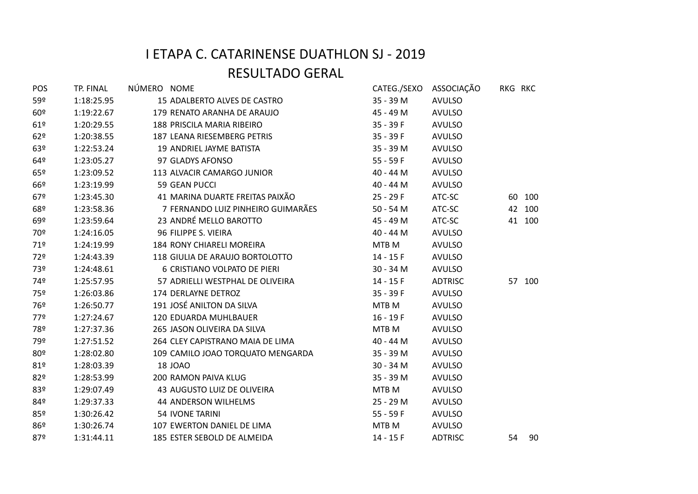| POS             | TP. FINAL  | NÚMERO NOME |                                    |             | CATEG./SEXO ASSOCIAÇÃO | RKG RKC |        |
|-----------------|------------|-------------|------------------------------------|-------------|------------------------|---------|--------|
| 59º             | 1:18:25.95 |             | 15 ADALBERTO ALVES DE CASTRO       | 35 - 39 M   | <b>AVULSO</b>          |         |        |
| 60 <sup>°</sup> | 1:19:22.67 |             | 179 RENATO ARANHA DE ARAUJO        | 45 - 49 M   | <b>AVULSO</b>          |         |        |
| 61°             | 1:20:29.55 |             | 188 PRISCILA MARIA RIBEIRO         | $35 - 39F$  | <b>AVULSO</b>          |         |        |
| 62°             | 1:20:38.55 |             | 187 LEANA RIESEMBERG PETRIS        | $35 - 39F$  | <b>AVULSO</b>          |         |        |
| 63º             | 1:22:53.24 |             | 19 ANDRIEL JAYME BATISTA           | 35 - 39 M   | <b>AVULSO</b>          |         |        |
| 64º             | 1:23:05.27 |             | 97 GLADYS AFONSO                   | $55 - 59F$  | <b>AVULSO</b>          |         |        |
| 65º             | 1:23:09.52 |             | 113 ALVACIR CAMARGO JUNIOR         | 40 - 44 M   | <b>AVULSO</b>          |         |        |
| 66º             | 1:23:19.99 |             | 59 GEAN PUCCI                      | 40 - 44 M   | <b>AVULSO</b>          |         |        |
| 67º             | 1:23:45.30 |             | 41 MARINA DUARTE FREITAS PAIXÃO    | 25 - 29 F   | ATC-SC                 |         | 60 100 |
| 68º             | 1:23:58.36 |             | 7 FERNANDO LUIZ PINHEIRO GUIMARÃES | 50 - 54 M   | ATC-SC                 |         | 42 100 |
| 69º             | 1:23:59.64 |             | 23 ANDRÉ MELLO BAROTTO             | 45 - 49 M   | ATC-SC                 |         | 41 100 |
| 70º             | 1:24:16.05 |             | 96 FILIPPE S. VIEIRA               | 40 - 44 M   | <b>AVULSO</b>          |         |        |
| 719             | 1:24:19.99 |             | 184 RONY CHIARELI MOREIRA          | MTB M       | <b>AVULSO</b>          |         |        |
| 72º             | 1:24:43.39 |             | 118 GIULIA DE ARAUJO BORTOLOTTO    | 14 - 15 F   | <b>AVULSO</b>          |         |        |
| 73º             | 1:24:48.61 |             | 6 CRISTIANO VOLPATO DE PIERI       | 30 - 34 M   | <b>AVULSO</b>          |         |        |
| 74º             | 1:25:57.95 |             | 57 ADRIELLI WESTPHAL DE OLIVEIRA   | $14 - 15F$  | <b>ADTRISC</b>         |         | 57 100 |
| 75º             | 1:26:03.86 |             | 174 DERLAYNE DETROZ                | $35 - 39F$  | <b>AVULSO</b>          |         |        |
| 76º             | 1:26:50.77 |             | 191 JOSÉ ANILTON DA SILVA          | MTB M       | <b>AVULSO</b>          |         |        |
| 77º             | 1:27:24.67 |             | 120 EDUARDA MUHLBAUER              | $16 - 19F$  | <b>AVULSO</b>          |         |        |
| 78º             | 1:27:37.36 |             | 265 JASON OLIVEIRA DA SILVA        | MTB M       | <b>AVULSO</b>          |         |        |
| 79º             | 1:27:51.52 |             | 264 CLEY CAPISTRANO MAIA DE LIMA   | 40 - 44 M   | <b>AVULSO</b>          |         |        |
| 80º             | 1:28:02.80 |             | 109 CAMILO JOAO TORQUATO MENGARDA  | 35 - 39 M   | <b>AVULSO</b>          |         |        |
| 81°             | 1:28:03.39 |             | <b>18 JOAO</b>                     | $30 - 34 M$ | <b>AVULSO</b>          |         |        |
| 82º             | 1:28:53.99 |             | <b>200 RAMON PAIVA KLUG</b>        | 35 - 39 M   | <b>AVULSO</b>          |         |        |
| 83º             | 1:29:07.49 |             | 43 AUGUSTO LUIZ DE OLIVEIRA        | MTB M       | <b>AVULSO</b>          |         |        |
| 84º             | 1:29:37.33 |             | 44 ANDERSON WILHELMS               | 25 - 29 M   | <b>AVULSO</b>          |         |        |
| 85º             | 1:30:26.42 |             | <b>54 IVONE TARINI</b>             | $55 - 59F$  | <b>AVULSO</b>          |         |        |
| 86º             | 1:30:26.74 |             | 107 EWERTON DANIEL DE LIMA         | MTB M       | <b>AVULSO</b>          |         |        |
| 87º             | 1:31:44.11 |             | 185 ESTER SEBOLD DE ALMEIDA        | $14 - 15F$  | <b>ADTRISC</b>         | 54      | 90     |